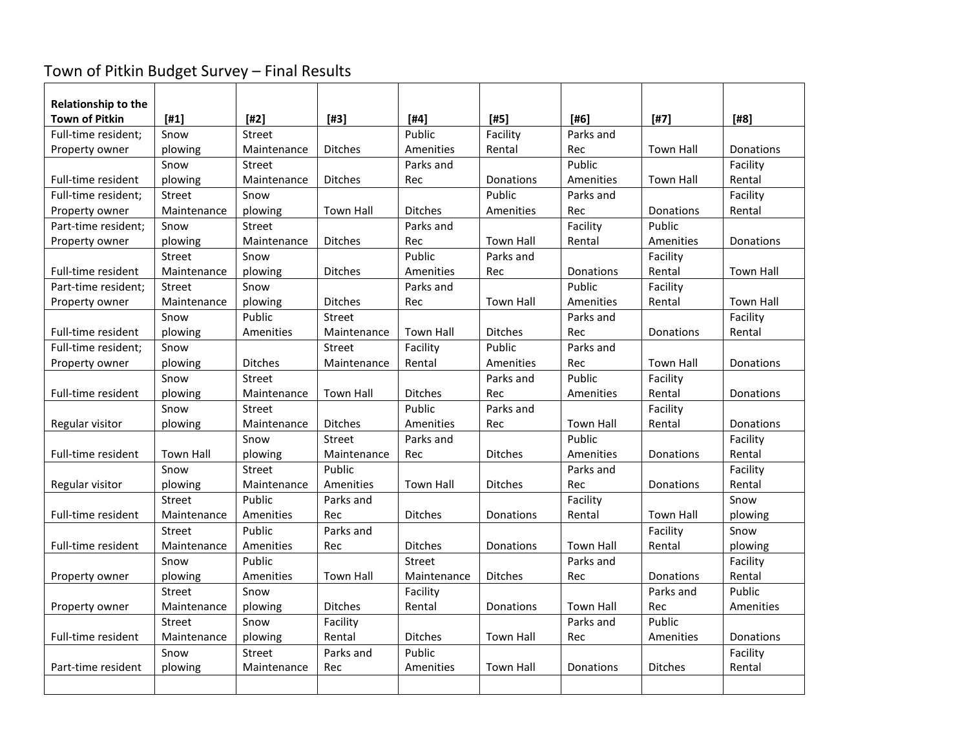# Town of Pitkin Budget Survey – Final Results

| <b>Relationship to the</b> |                  |                |                  |                  |                  |                  |                  |                  |
|----------------------------|------------------|----------------|------------------|------------------|------------------|------------------|------------------|------------------|
| <b>Town of Pitkin</b>      | $[#1]$           | $[#2]$         | $[#3]$           | $[#4]$           | $[#5]$           | [#6]             | $[#7]$           | $[$ #8]          |
| Full-time resident;        | Snow             | Street         |                  | Public           | Facility         | Parks and        |                  |                  |
| Property owner             | plowing          | Maintenance    | <b>Ditches</b>   | Amenities        | Rental           | Rec              | <b>Town Hall</b> | Donations        |
|                            | Snow             | Street         |                  | Parks and        |                  | Public           |                  | Facility         |
| Full-time resident         | plowing          | Maintenance    | <b>Ditches</b>   | Rec              | Donations        | Amenities        | <b>Town Hall</b> | Rental           |
| Full-time resident;        | <b>Street</b>    | Snow           |                  |                  | Public           | Parks and        |                  | Facility         |
| Property owner             | Maintenance      | plowing        | <b>Town Hall</b> | <b>Ditches</b>   | Amenities        | Rec              | Donations        | Rental           |
| Part-time resident;        | Snow             | Street         |                  | Parks and        |                  | Facility         | Public           |                  |
| Property owner             | plowing          | Maintenance    | <b>Ditches</b>   | Rec              | <b>Town Hall</b> | Rental           | Amenities        | Donations        |
|                            | <b>Street</b>    | Snow           |                  | Public           | Parks and        |                  | Facility         |                  |
| Full-time resident         | Maintenance      | plowing        | <b>Ditches</b>   | Amenities        | Rec              | Donations        | Rental           | <b>Town Hall</b> |
| Part-time resident:        | Street           | Snow           |                  | Parks and        |                  | Public           | Facility         |                  |
| Property owner             | Maintenance      | plowing        | <b>Ditches</b>   | Rec              | <b>Town Hall</b> | Amenities        | Rental           | Town Hall        |
|                            | Snow             | Public         | Street           |                  |                  | Parks and        |                  | Facility         |
| Full-time resident         | plowing          | Amenities      | Maintenance      | <b>Town Hall</b> | <b>Ditches</b>   | Rec              | Donations        | Rental           |
| Full-time resident;        | Snow             |                | <b>Street</b>    | Facility         | Public           | Parks and        |                  |                  |
| Property owner             | plowing          | <b>Ditches</b> | Maintenance      | Rental           | Amenities        | Rec              | <b>Town Hall</b> | Donations        |
|                            | Snow             | <b>Street</b>  |                  |                  | Parks and        | Public           | Facility         |                  |
| Full-time resident         | plowing          | Maintenance    | <b>Town Hall</b> | <b>Ditches</b>   | Rec              | Amenities        | Rental           | Donations        |
|                            | Snow             | Street         |                  | Public           | Parks and        |                  | Facility         |                  |
| Regular visitor            | plowing          | Maintenance    | <b>Ditches</b>   | Amenities        | Rec              | <b>Town Hall</b> | Rental           | Donations        |
|                            |                  | Snow           | Street           | Parks and        |                  | Public           |                  | Facility         |
| Full-time resident         | <b>Town Hall</b> | plowing        | Maintenance      | Rec              | <b>Ditches</b>   | Amenities        | Donations        | Rental           |
|                            | Snow             | Street         | Public           |                  |                  | Parks and        |                  | Facility         |
| Regular visitor            | plowing          | Maintenance    | Amenities        | <b>Town Hall</b> | <b>Ditches</b>   | Rec              | Donations        | Rental           |
|                            | Street           | Public         | Parks and        |                  |                  | Facility         |                  | Snow             |
| Full-time resident         | Maintenance      | Amenities      | Rec              | <b>Ditches</b>   | Donations        | Rental           | <b>Town Hall</b> | plowing          |
|                            | Street           | <b>Public</b>  | Parks and        |                  |                  |                  | Facility         | Snow             |
| Full-time resident         | Maintenance      | Amenities      | Rec              | <b>Ditches</b>   | Donations        | <b>Town Hall</b> | Rental           | plowing          |
|                            | Snow             | Public         |                  | Street           |                  | Parks and        |                  | Facility         |
| Property owner             | plowing          | Amenities      | <b>Town Hall</b> | Maintenance      | <b>Ditches</b>   | Rec              | Donations        | Rental           |
|                            | <b>Street</b>    | Snow           |                  | Facility         |                  |                  | Parks and        | Public           |
| Property owner             | Maintenance      | plowing        | <b>Ditches</b>   | Rental           | Donations        | <b>Town Hall</b> | Rec              | Amenities        |
|                            | Street           | Snow           | Facility         |                  |                  | Parks and        | Public           |                  |
| Full-time resident         | Maintenance      | plowing        | Rental           | <b>Ditches</b>   | <b>Town Hall</b> | Rec              | Amenities        | Donations        |
|                            | Snow             | Street         | Parks and        | Public           |                  |                  |                  | Facility         |
| Part-time resident         | plowing          | Maintenance    | Rec              | Amenities        | <b>Town Hall</b> | Donations        | <b>Ditches</b>   | Rental           |
|                            |                  |                |                  |                  |                  |                  |                  |                  |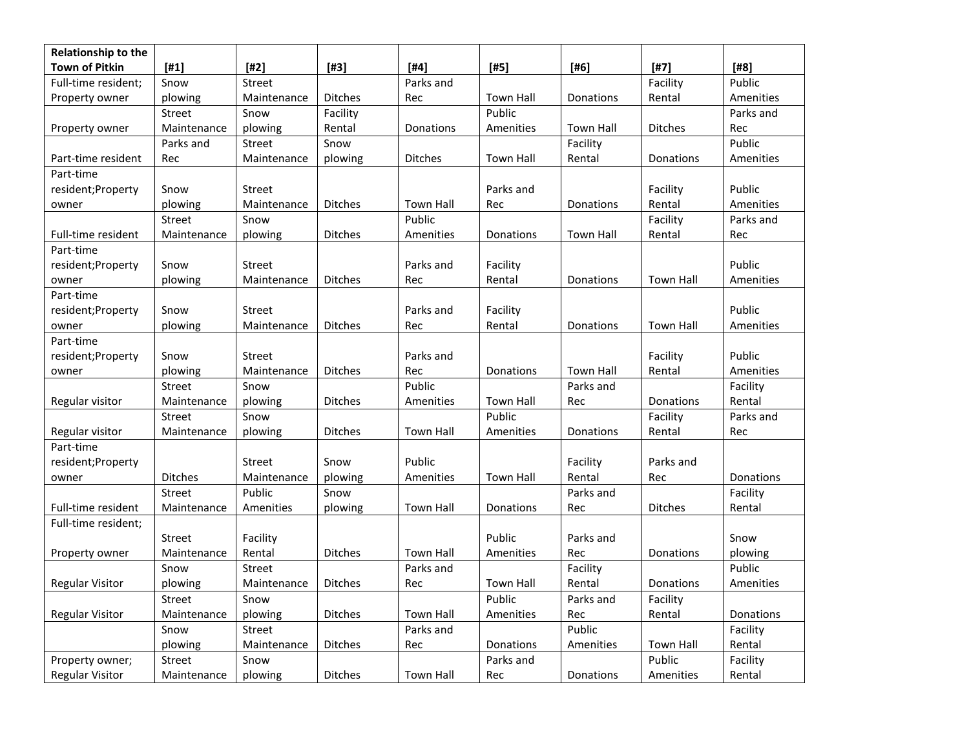| Relationship to the    |                |             |                |                  |                  |                  |                  |           |
|------------------------|----------------|-------------|----------------|------------------|------------------|------------------|------------------|-----------|
| <b>Town of Pitkin</b>  | $[#1]$         | $[#2]$      | $[#3]$         | $[#4]$           | $[#5]$           | $[#6]$           | $[#7]$           | [#8]      |
| Full-time resident;    | Snow           | Street      |                | Parks and        |                  |                  | Facility         | Public    |
| Property owner         | plowing        | Maintenance | Ditches        | Rec              | <b>Town Hall</b> | Donations        | Rental           | Amenities |
|                        | Street         | Snow        | Facility       |                  | Public           |                  |                  | Parks and |
| Property owner         | Maintenance    | plowing     | Rental         | Donations        | Amenities        | <b>Town Hall</b> | <b>Ditches</b>   | Rec       |
|                        | Parks and      | Street      | Snow           |                  |                  | Facility         |                  | Public    |
| Part-time resident     | Rec            | Maintenance | plowing        | <b>Ditches</b>   | Town Hall        | Rental           | Donations        | Amenities |
| Part-time              |                |             |                |                  |                  |                  |                  |           |
| resident;Property      | Snow           | Street      |                |                  | Parks and        |                  | Facility         | Public    |
| owner                  | plowing        | Maintenance | Ditches        | <b>Town Hall</b> | Rec              | Donations        | Rental           | Amenities |
|                        | Street         | Snow        |                | Public           |                  |                  | Facility         | Parks and |
| Full-time resident     | Maintenance    | plowing     | Ditches        | Amenities        | Donations        | Town Hall        | Rental           | Rec       |
| Part-time              |                |             |                |                  |                  |                  |                  |           |
| resident;Property      | Snow           | Street      |                | Parks and        | Facility         |                  |                  | Public    |
| owner                  | plowing        | Maintenance | Ditches        | Rec              | Rental           | Donations        | Town Hall        | Amenities |
| Part-time              |                |             |                |                  |                  |                  |                  |           |
| resident;Property      | Snow           | Street      |                | Parks and        | Facility         |                  |                  | Public    |
| owner                  | plowing        | Maintenance | <b>Ditches</b> | Rec              | Rental           | Donations        | <b>Town Hall</b> | Amenities |
| Part-time              |                |             |                |                  |                  |                  |                  |           |
| resident;Property      | Snow           | Street      |                | Parks and        |                  |                  | Facility         | Public    |
| owner                  | plowing        | Maintenance | Ditches        | Rec              | Donations        | Town Hall        | Rental           | Amenities |
|                        | Street         | Snow        |                | Public           |                  | Parks and        |                  | Facility  |
| Regular visitor        | Maintenance    | plowing     | Ditches        | Amenities        | <b>Town Hall</b> | Rec              | Donations        | Rental    |
|                        | Street         | Snow        |                |                  | Public           |                  | Facility         | Parks and |
| Regular visitor        | Maintenance    | plowing     | Ditches        | <b>Town Hall</b> | Amenities        | Donations        | Rental           | Rec       |
| Part-time              |                |             |                |                  |                  |                  |                  |           |
| resident;Property      |                | Street      | Snow           | Public           |                  | Facility         | Parks and        |           |
| owner                  | <b>Ditches</b> | Maintenance | plowing        | Amenities        | <b>Town Hall</b> | Rental           | Rec              | Donations |
|                        | Street         | Public      | Snow           |                  |                  | Parks and        |                  | Facility  |
| Full-time resident     | Maintenance    | Amenities   | plowing        | Town Hall        | Donations        | Rec              | <b>Ditches</b>   | Rental    |
| Full-time resident;    |                |             |                |                  |                  |                  |                  |           |
|                        | Street         | Facility    |                |                  | Public           | Parks and        |                  | Snow      |
| Property owner         | Maintenance    | Rental      | Ditches        | Town Hall        | Amenities        | Rec              | Donations        | plowing   |
|                        | Snow           | Street      |                | Parks and        |                  | Facility         |                  | Public    |
| <b>Regular Visitor</b> | plowing        | Maintenance | <b>Ditches</b> | Rec              | <b>Town Hall</b> | Rental           | Donations        | Amenities |
|                        | Street         | Snow        |                |                  | Public           | Parks and        | Facility         |           |
| <b>Regular Visitor</b> | Maintenance    | plowing     | Ditches        | <b>Town Hall</b> | Amenities        | Rec              | Rental           | Donations |
|                        | Snow           | Street      |                | Parks and        |                  | Public           |                  | Facility  |
|                        | plowing        | Maintenance | Ditches        | Rec              | Donations        | Amenities        | Town Hall        | Rental    |
| Property owner;        | Street         | Snow        |                |                  | Parks and        |                  | Public           | Facility  |
| <b>Regular Visitor</b> | Maintenance    | plowing     | Ditches        | Town Hall        | Rec              | Donations        | Amenities        | Rental    |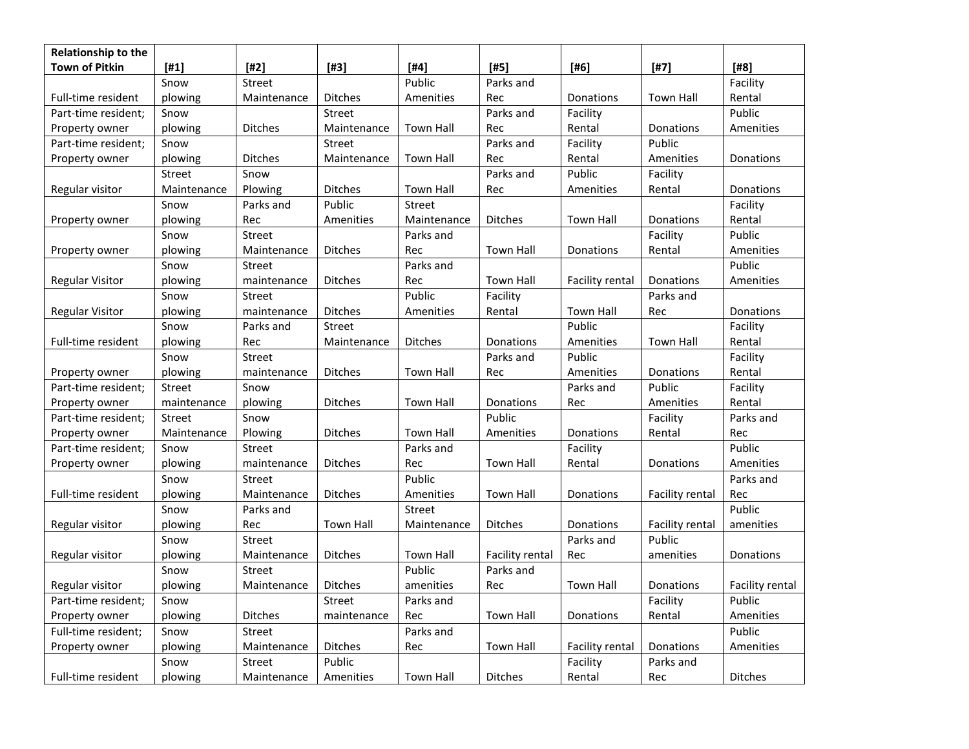| Relationship to the    |             |               |                  |                  |                  |                        |                  |                 |
|------------------------|-------------|---------------|------------------|------------------|------------------|------------------------|------------------|-----------------|
| <b>Town of Pitkin</b>  | $[#1]$      | $[#2]$        | $[#3]$           | [#4]             | [#5]             | $[#6]$                 | $[#7]$           | $[48]$          |
|                        | Snow        | Street        |                  | Public           | Parks and        |                        |                  | Facility        |
| Full-time resident     | plowing     | Maintenance   | <b>Ditches</b>   | Amenities        | Rec              | Donations              | <b>Town Hall</b> | Rental          |
| Part-time resident;    | Snow        |               | Street           |                  | Parks and        | Facility               |                  | Public          |
| Property owner         | plowing     | Ditches       | Maintenance      | <b>Town Hall</b> | Rec              | Rental                 | Donations        | Amenities       |
| Part-time resident;    | Snow        |               | Street           |                  | Parks and        | Facility               | Public           |                 |
| Property owner         | plowing     | Ditches       | Maintenance      | Town Hall        | Rec              | Rental                 | Amenities        | Donations       |
|                        | Street      | Snow          |                  |                  | Parks and        | Public                 | Facility         |                 |
| Regular visitor        | Maintenance | Plowing       | Ditches          | <b>Town Hall</b> | Rec              | Amenities              | Rental           | Donations       |
|                        | Snow        | Parks and     | Public           | Street           |                  |                        |                  | Facility        |
| Property owner         | plowing     | Rec           | Amenities        | Maintenance      | Ditches          | Town Hall              | Donations        | Rental          |
|                        | Snow        | Street        |                  | Parks and        |                  |                        | Facility         | Public          |
| Property owner         | plowing     | Maintenance   | Ditches          | Rec              | <b>Town Hall</b> | Donations              | Rental           | Amenities       |
|                        | Snow        | Street        |                  | Parks and        |                  |                        |                  | Public          |
| <b>Regular Visitor</b> | plowing     | maintenance   | <b>Ditches</b>   | Rec              | Town Hall        | <b>Facility rental</b> | Donations        | Amenities       |
|                        | Snow        | Street        |                  | Public           | Facility         |                        | Parks and        |                 |
| <b>Regular Visitor</b> | plowing     | maintenance   | Ditches          | Amenities        | Rental           | <b>Town Hall</b>       | Rec              | Donations       |
|                        | Snow        | Parks and     | Street           |                  |                  | Public                 |                  | Facility        |
| Full-time resident     | plowing     | Rec           | Maintenance      | <b>Ditches</b>   | Donations        | Amenities              | <b>Town Hall</b> | Rental          |
|                        | Snow        | Street        |                  |                  | Parks and        | Public                 |                  | Facility        |
| Property owner         | plowing     | maintenance   | Ditches          | Town Hall        | Rec              | Amenities              | Donations        | Rental          |
| Part-time resident;    | Street      | Snow          |                  |                  |                  | Parks and              | Public           | Facility        |
| Property owner         | maintenance | plowing       | Ditches          | <b>Town Hall</b> | Donations        | Rec                    | Amenities        | Rental          |
| Part-time resident;    | Street      | Snow          |                  |                  | Public           |                        | Facility         | Parks and       |
| Property owner         | Maintenance | Plowing       | Ditches          | <b>Town Hall</b> | Amenities        | Donations              | Rental           | Rec             |
| Part-time resident;    | Snow        | Street        |                  | Parks and        |                  | Facility               |                  | Public          |
| Property owner         | plowing     | maintenance   | Ditches          | Rec              | <b>Town Hall</b> | Rental                 | Donations        | Amenities       |
|                        | Snow        | <b>Street</b> |                  | Public           |                  |                        |                  | Parks and       |
| Full-time resident     | plowing     | Maintenance   | Ditches          | Amenities        | <b>Town Hall</b> | Donations              | Facility rental  | Rec             |
|                        | Snow        | Parks and     |                  | Street           |                  |                        |                  | Public          |
| Regular visitor        | plowing     | Rec           | <b>Town Hall</b> | Maintenance      | Ditches          | Donations              | Facility rental  | amenities       |
|                        | Snow        | Street        |                  |                  |                  | Parks and              | Public           |                 |
| Regular visitor        | plowing     | Maintenance   | Ditches          | <b>Town Hall</b> | Facility rental  | Rec                    | amenities        | Donations       |
|                        | Snow        | Street        |                  | Public           | Parks and        |                        |                  |                 |
| Regular visitor        | plowing     | Maintenance   | <b>Ditches</b>   | amenities        | Rec              | <b>Town Hall</b>       | Donations        | Facility rental |
| Part-time resident;    | Snow        |               | Street           | Parks and        |                  |                        | Facility         | Public          |
| Property owner         | plowing     | Ditches       | maintenance      | Rec              | <b>Town Hall</b> | Donations              | Rental           | Amenities       |
| Full-time resident;    | Snow        | Street        |                  | Parks and        |                  |                        |                  | Public          |
| Property owner         | plowing     | Maintenance   | Ditches          | Rec              | Town Hall        | Facility rental        | Donations        | Amenities       |
|                        | Snow        | <b>Street</b> | Public           |                  |                  | Facility               | Parks and        |                 |
| Full-time resident     | plowing     | Maintenance   | Amenities        | Town Hall        | Ditches          | Rental                 | Rec              | Ditches         |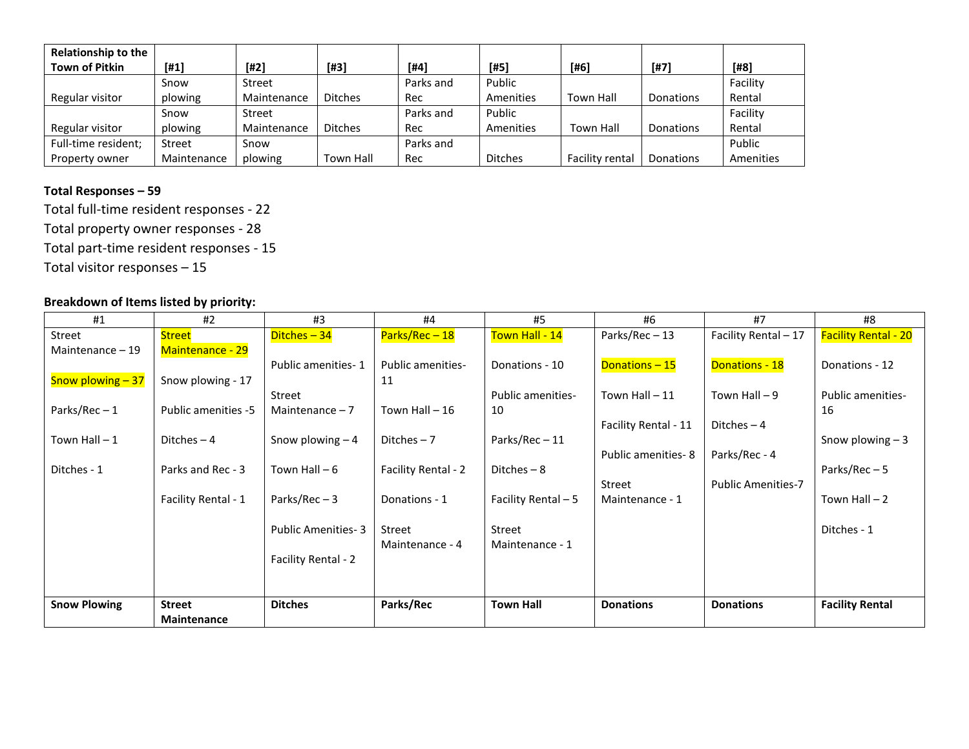| <b>Relationship to the</b><br><b>Town of Pitkin</b> | $[#1]$      | $[#2]$        | $[#3]$           | $[#4]$    | $[#5]$         | [#6]             | $[#7]$           | $[48]$    |
|-----------------------------------------------------|-------------|---------------|------------------|-----------|----------------|------------------|------------------|-----------|
|                                                     | Snow        | Street        |                  | Parks and | Public         |                  |                  | Facility  |
| Regular visitor                                     | plowing     | Maintenance   | <b>Ditches</b>   | Rec       | Amenities      | <b>Town Hall</b> | Donations        | Rental    |
|                                                     | Snow        | <b>Street</b> |                  | Parks and | Public         |                  |                  | Facility  |
| Regular visitor                                     | plowing     | Maintenance   | <b>Ditches</b>   | Rec       | Amenities      | Town Hall        | <b>Donations</b> | Rental    |
| Full-time resident;                                 | Street      | Snow          |                  | Parks and |                |                  |                  | Public    |
| Property owner                                      | Maintenance | plowing       | <b>Town Hall</b> | Rec       | <b>Ditches</b> | Facility rental  | Donations        | Amenities |

# **Total Responses – 59**

Total full-time resident responses - 22

Total property owner responses - 28

Total part-time resident responses - 15

Total visitor responses – 15

# **Breakdown of Items listed by priority:**

| #1                  | #2                         | #3                        | #4                       | #5                  | #6                   | #7                        | #8                          |
|---------------------|----------------------------|---------------------------|--------------------------|---------------------|----------------------|---------------------------|-----------------------------|
| Street              | <b>Street</b>              | Ditches-34                | Parks/Rec - 18           | Town Hall - 14      | Parks/Rec-13         | Facility Rental - 17      | <b>Facility Rental - 20</b> |
| Maintenance - 19    | <b>Maintenance - 29</b>    |                           |                          |                     |                      |                           |                             |
|                     |                            | Public amenities-1        | <b>Public amenities-</b> | Donations - 10      | Donations-15         | <b>Donations - 18</b>     | Donations - 12              |
| Snow plowing $-37$  | Snow plowing - 17          |                           | 11                       |                     |                      |                           |                             |
|                     |                            | Street                    |                          | Public amenities-   | Town Hall $-11$      | Town Hall $-9$            | Public amenities-           |
| Parks/Rec-1         | <b>Public amenities -5</b> | Maintenance $-7$          | Town Hall $-16$          | 10                  |                      |                           | 16                          |
|                     |                            |                           |                          |                     | Facility Rental - 11 | Ditches $-4$              |                             |
| Town Hall $-1$      | Ditches $-4$               | Snow plowing $-4$         | Ditches $-7$             | Parks/Rec-11        |                      |                           | Snow plowing $-3$           |
|                     |                            |                           |                          |                     | Public amenities-8   | Parks/Rec - 4             |                             |
| Ditches - 1         | Parks and Rec - 3          | Town Hall $-6$            | Facility Rental - 2      | Ditches $-8$        |                      |                           | Parks/Rec $-5$              |
|                     |                            |                           |                          |                     | Street               | <b>Public Amenities-7</b> |                             |
|                     | Facility Rental - 1        | Parks/Rec $-3$            | Donations - 1            | Facility Rental - 5 | Maintenance - 1      |                           | Town Hall $-2$              |
|                     |                            |                           |                          |                     |                      |                           |                             |
|                     |                            | <b>Public Amenities-3</b> | Street                   | Street              |                      |                           | Ditches - 1                 |
|                     |                            |                           | Maintenance - 4          | Maintenance - 1     |                      |                           |                             |
|                     |                            | Facility Rental - 2       |                          |                     |                      |                           |                             |
|                     |                            |                           |                          |                     |                      |                           |                             |
|                     |                            |                           |                          |                     |                      |                           |                             |
| <b>Snow Plowing</b> | <b>Street</b>              | <b>Ditches</b>            | Parks/Rec                | <b>Town Hall</b>    | <b>Donations</b>     | <b>Donations</b>          | <b>Facility Rental</b>      |
|                     | Maintenance                |                           |                          |                     |                      |                           |                             |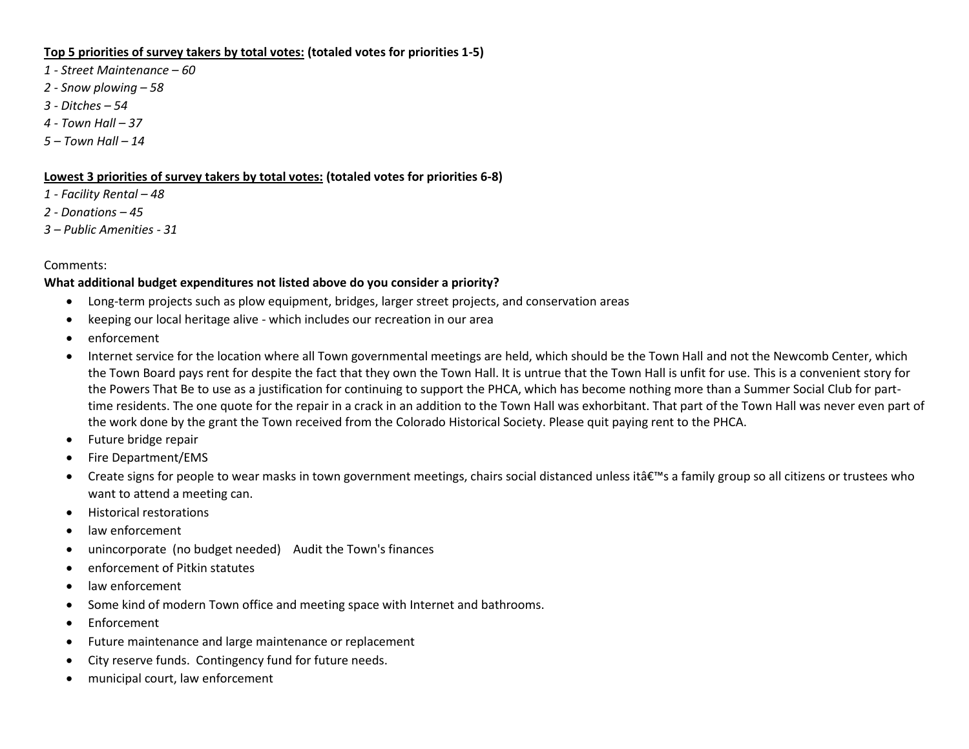## **Top 5 priorities of survey takers by total votes: (totaled votes for priorities 1-5)**

- *1 - Street Maintenance – 60*
- *2 - Snow plowing – 58*
- *3 - Ditches – 54*
- *4 - Town Hall – 37*
- *5 – Town Hall – 14*

#### **Lowest 3 priorities of survey takers by total votes: (totaled votes for priorities 6-8)**

- *1 - Facility Rental – 48*
- *2 - Donations – 45*
- *3 – Public Amenities - 31*

## Comments:

## **What additional budget expenditures not listed above do you consider a priority?**

- Long-term projects such as plow equipment, bridges, larger street projects, and conservation areas
- keeping our local heritage alive which includes our recreation in our area
- enforcement
- Internet service for the location where all Town governmental meetings are held, which should be the Town Hall and not the Newcomb Center, which the Town Board pays rent for despite the fact that they own the Town Hall. It is untrue that the Town Hall is unfit for use. This is a convenient story for the Powers That Be to use as a justification for continuing to support the PHCA, which has become nothing more than a Summer Social Club for parttime residents. The one quote for the repair in a crack in an addition to the Town Hall was exhorbitant. That part of the Town Hall was never even part of the work done by the grant the Town received from the Colorado Historical Society. Please quit paying rent to the PHCA.
- Future bridge repair
- Fire Department/EMS
- Create signs for people to wear masks in town government meetings, chairs social distanced unless it  $\hat{a} \in \mathbb{N}$ s a family group so all citizens or trustees who want to attend a meeting can.
- Historical restorations
- law enforcement
- unincorporate (no budget needed) Audit the Town's finances
- enforcement of Pitkin statutes
- law enforcement
- Some kind of modern Town office and meeting space with Internet and bathrooms.
- Enforcement
- Future maintenance and large maintenance or replacement
- City reserve funds. Contingency fund for future needs.
- municipal court, law enforcement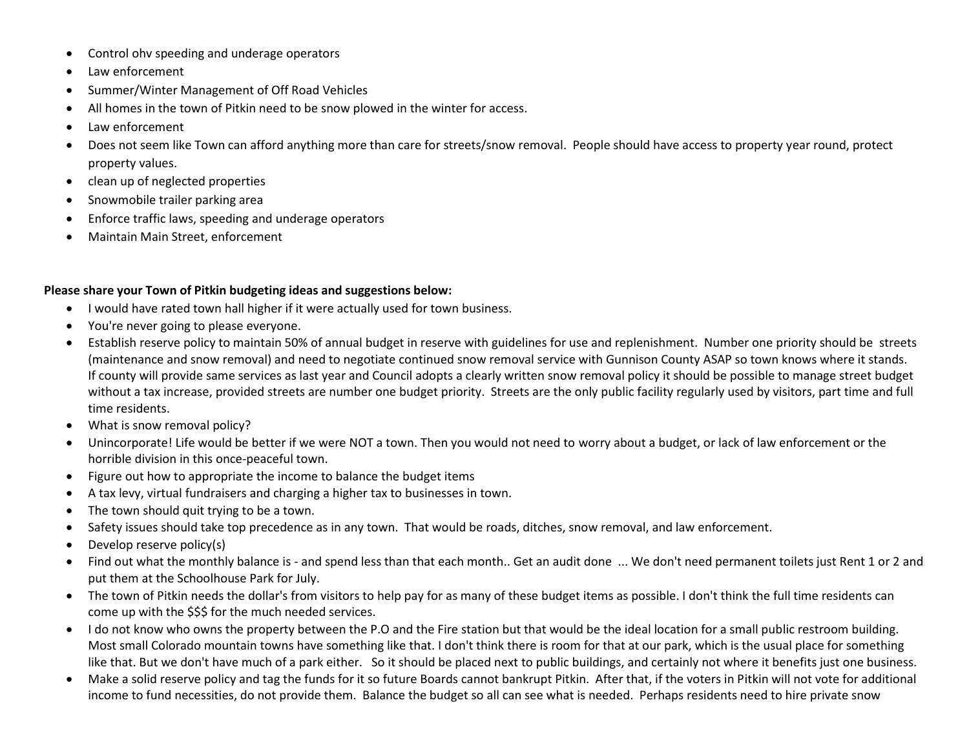- Control ohv speeding and underage operators
- Law enforcement
- Summer/Winter Management of Off Road Vehicles
- All homes in the town of Pitkin need to be snow plowed in the winter for access.
- Law enforcement
- Does not seem like Town can afford anything more than care for streets/snow removal. People should have access to property year round, protect property values.
- clean up of neglected properties
- Snowmobile trailer parking area
- Enforce traffic laws, speeding and underage operators
- Maintain Main Street, enforcement

#### **Please share your Town of Pitkin budgeting ideas and suggestions below:**

- I would have rated town hall higher if it were actually used for town business.
- You're never going to please everyone.
- Establish reserve policy to maintain 50% of annual budget in reserve with guidelines for use and replenishment. Number one priority should be streets (maintenance and snow removal) and need to negotiate continued snow removal service with Gunnison County ASAP so town knows where it stands. If county will provide same services as last year and Council adopts a clearly written snow removal policy it should be possible to manage street budget without a tax increase, provided streets are number one budget priority. Streets are the only public facility regularly used by visitors, part time and full time residents.
- What is snow removal policy?
- Unincorporate! Life would be better if we were NOT a town. Then you would not need to worry about a budget, or lack of law enforcement or the horrible division in this once-peaceful town.
- Figure out how to appropriate the income to balance the budget items
- A tax levy, virtual fundraisers and charging a higher tax to businesses in town.
- The town should quit trying to be a town.
- Safety issues should take top precedence as in any town. That would be roads, ditches, snow removal, and law enforcement.
- Develop reserve policy(s)
- Find out what the monthly balance is and spend less than that each month.. Get an audit done ... We don't need permanent toilets just Rent 1 or 2 and put them at the Schoolhouse Park for July.
- The town of Pitkin needs the dollar's from visitors to help pay for as many of these budget items as possible. I don't think the full time residents can come up with the \$\$\$ for the much needed services.
- I do not know who owns the property between the P.O and the Fire station but that would be the ideal location for a small public restroom building. Most small Colorado mountain towns have something like that. I don't think there is room for that at our park, which is the usual place for something like that. But we don't have much of a park either. So it should be placed next to public buildings, and certainly not where it benefits just one business.
- Make a solid reserve policy and tag the funds for it so future Boards cannot bankrupt Pitkin. After that, if the voters in Pitkin will not vote for additional income to fund necessities, do not provide them. Balance the budget so all can see what is needed. Perhaps residents need to hire private snow